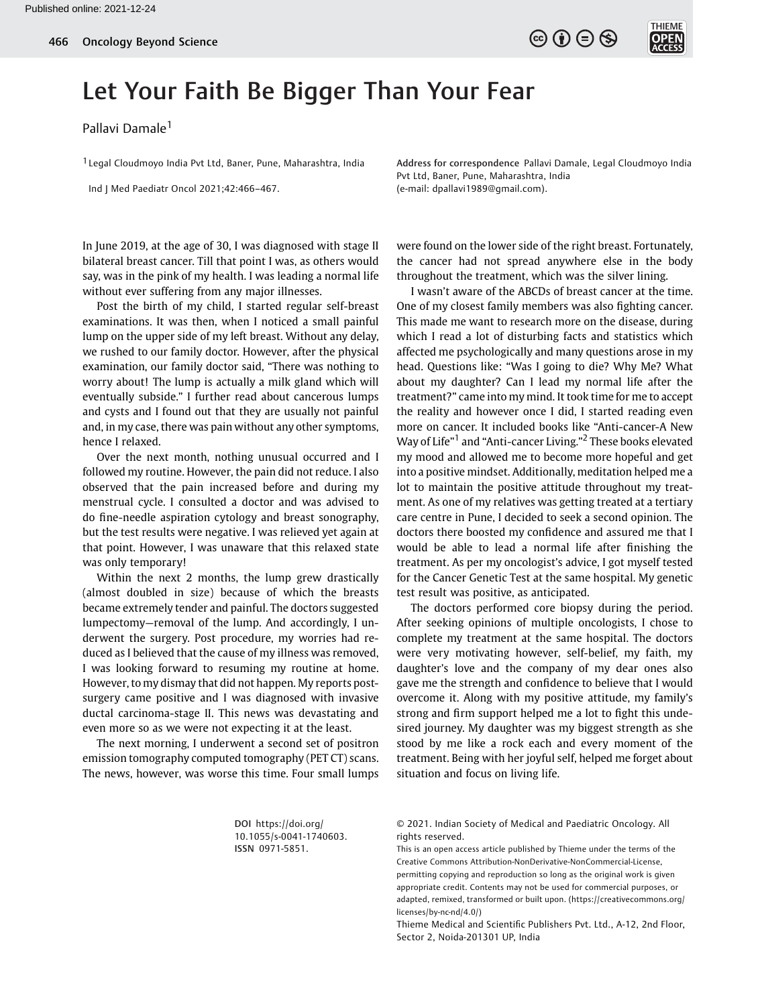$\circledcirc$  (i)  $\ominus$   $\circledcirc$ 



## Let Your Faith Be Bigger Than Your Fear

Pallavi Damale<sup>1</sup>

<sup>1</sup> Legal Cloudmoyo India Pvt Ltd, Baner, Pune, Maharashtra, India

Ind J Med Paediatr Oncol 2021;42:466–467.

Address for correspondence Pallavi Damale, Legal Cloudmoyo India Pvt Ltd, Baner, Pune, Maharashtra, India (e-mail: [dpallavi1989@gmail.com\)](mailto:dpallavi1989@gmail.com).

In June 2019, at the age of 30, I was diagnosed with stage II bilateral breast cancer. Till that point I was, as others would say, was in the pink of my health. I was leading a normal life without ever suffering from any major illnesses.

Post the birth of my child, I started regular self-breast examinations. It was then, when I noticed a small painful lump on the upper side of my left breast. Without any delay, we rushed to our family doctor. However, after the physical examination, our family doctor said, "There was nothing to worry about! The lump is actually a milk gland which will eventually subside." I further read about cancerous lumps and cysts and I found out that they are usually not painful and, in my case, there was pain without any other symptoms, hence I relaxed.

Over the next month, nothing unusual occurred and I followed my routine. However, the pain did not reduce. I also observed that the pain increased before and during my menstrual cycle. I consulted a doctor and was advised to do fine-needle aspiration cytology and breast sonography, but the test results were negative. I was relieved yet again at that point. However, I was unaware that this relaxed state was only temporary!

Within the next 2 months, the lump grew drastically (almost doubled in size) because of which the breasts became extremely tender and painful. The doctors suggested lumpectomy—removal of the lump. And accordingly, I underwent the surgery. Post procedure, my worries had reduced as I believed that the cause of my illness was removed, I was looking forward to resuming my routine at home. However, to my dismay that did not happen. My reports postsurgery came positive and I was diagnosed with invasive ductal carcinoma-stage II. This news was devastating and even more so as we were not expecting it at the least.

The next morning, I underwent a second set of positron emission tomography computed tomography (PET CT) scans. The news, however, was worse this time. Four small lumps were found on the lower side of the right breast. Fortunately, the cancer had not spread anywhere else in the body throughout the treatment, which was the silver lining.

I wasn't aware of the ABCDs of breast cancer at the time. One of my closest family members was also fighting cancer. This made me want to research more on the disease, during which I read a lot of disturbing facts and statistics which affected me psychologically and many questions arose in my head. Questions like: "Was I going to die? Why Me? What about my daughter? Can I lead my normal life after the treatment?" came into my mind. It took time for me to accept the reality and however once I did, I started reading even more on cancer. It included books like "Anti-cancer-A New Way of Life" <sup>1</sup> and "Anti-cancer Living." <sup>2</sup> These books elevated my mood and allowed me to become more hopeful and get into a positive mindset. Additionally, meditation helped me a lot to maintain the positive attitude throughout my treatment. As one of my relatives was getting treated at a tertiary care centre in Pune, I decided to seek a second opinion. The doctors there boosted my confidence and assured me that I would be able to lead a normal life after finishing the treatment. As per my oncologist's advice, I got myself tested for the Cancer Genetic Test at the same hospital. My genetic test result was positive, as anticipated.

The doctors performed core biopsy during the period. After seeking opinions of multiple oncologists, I chose to complete my treatment at the same hospital. The doctors were very motivating however, self-belief, my faith, my daughter's love and the company of my dear ones also gave me the strength and confidence to believe that I would overcome it. Along with my positive attitude, my family's strong and firm support helped me a lot to fight this undesired journey. My daughter was my biggest strength as she stood by me like a rock each and every moment of the treatment. Being with her joyful self, helped me forget about situation and focus on living life.

DOI [https://doi.org/](https://doi.org/10.1055/s-0041-1740603) [10.1055/s-0041-1740603](https://doi.org/10.1055/s-0041-1740603). ISSN 0971-5851.

© 2021. Indian Society of Medical and Paediatric Oncology. All rights reserved.

This is an open access article published by Thieme under the terms of the Creative Commons Attribution-NonDerivative-NonCommercial-License, permitting copying and reproduction so long as the original work is given appropriate credit. Contents may not be used for commercial purposes, or adapted, remixed, transformed or built upon. (https://creativecommons.org/ licenses/by-nc-nd/4.0/)

Thieme Medical and Scientific Publishers Pvt. Ltd., A-12, 2nd Floor, Sector 2, Noida-201301 UP, India